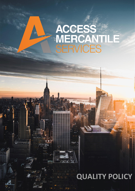## ACCESS<br>MERCANT<br>SERVICES LÊ

## 1300 F **QUALITY POLICY**